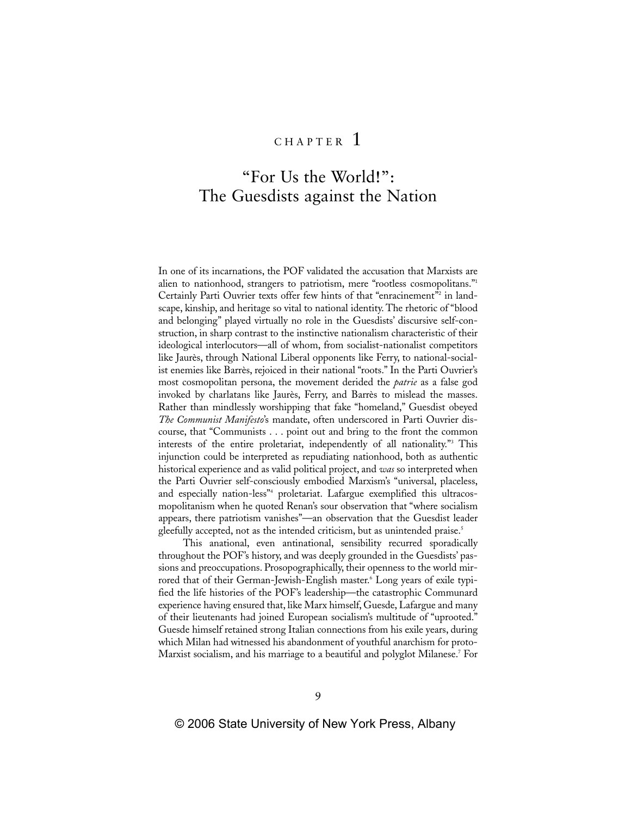## CHAPTER<sup>1</sup>

# "For Us the World!": The Guesdists against the Nation

In one of its incarnations, the POF validated the accusation that Marxists are alien to nationhood, strangers to patriotism, mere "rootless cosmopolitans."1 Certainly Parti Ouvrier texts offer few hints of that "enracinement"<sup>2</sup> in landscape, kinship, and heritage so vital to national identity. The rhetoric of "blood and belonging" played virtually no role in the Guesdists' discursive self-construction, in sharp contrast to the instinctive nationalism characteristic of their ideological interlocutors—all of whom, from socialist-nationalist competitors like Jaurès, through National Liberal opponents like Ferry, to national-socialist enemies like Barrès, rejoiced in their national "roots." In the Parti Ouvrier's most cosmopolitan persona, the movement derided the *patrie* as a false god invoked by charlatans like Jaurès, Ferry, and Barrès to mislead the masses. Rather than mindlessly worshipping that fake "homeland," Guesdist obeyed *The Communist Manifesto*'s mandate, often underscored in Parti Ouvrier discourse, that "Communists . . . point out and bring to the front the common interests of the entire proletariat, independently of all nationality."3 This injunction could be interpreted as repudiating nationhood, both as authentic historical experience and as valid political project, and *was* so interpreted when the Parti Ouvrier self-consciously embodied Marxism's "universal, placeless, and especially nation-less"4 proletariat. Lafargue exemplified this ultracosmopolitanism when he quoted Renan's sour observation that "where socialism appears, there patriotism vanishes"—an observation that the Guesdist leader gleefully accepted, not as the intended criticism, but as unintended praise.<sup>5</sup>

This anational, even antinational, sensibility recurred sporadically throughout the POF's history, and was deeply grounded in the Guesdists' passions and preoccupations. Prosopographically, their openness to the world mirrored that of their German-Jewish-English master.<sup>6</sup> Long years of exile typified the life histories of the POF's leadership—the catastrophic Communard experience having ensured that, like Marx himself, Guesde, Lafargue and many of their lieutenants had joined European socialism's multitude of "uprooted." Guesde himself retained strong Italian connections from his exile years, during which Milan had witnessed his abandonment of youthful anarchism for proto-Marxist socialism, and his marriage to a beautiful and polyglot Milanese.7 For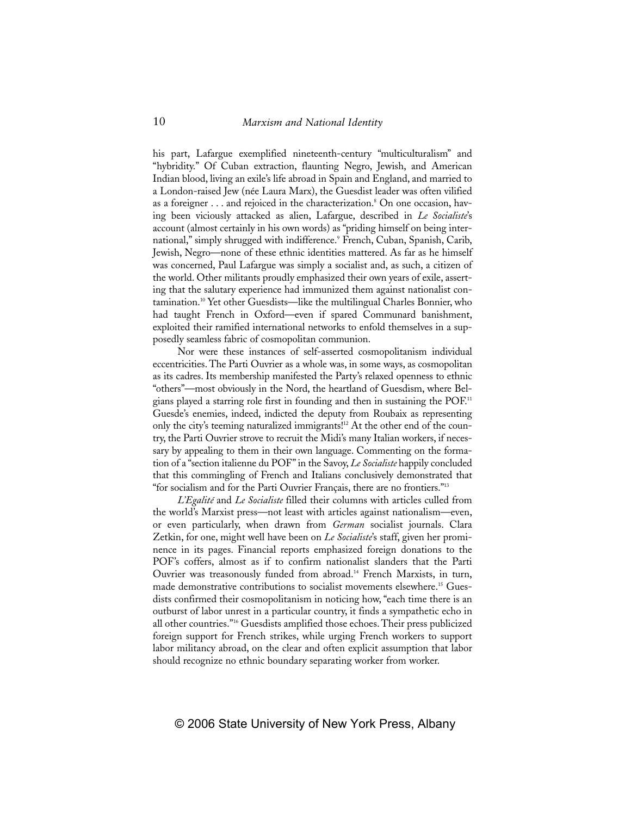his part, Lafargue exemplified nineteenth-century "multiculturalism" and "hybridity." Of Cuban extraction, flaunting Negro, Jewish, and American Indian blood, living an exile's life abroad in Spain and England, and married to a London-raised Jew (née Laura Marx), the Guesdist leader was often vilified as a foreigner . . . and rejoiced in the characterization.<sup>8</sup> On one occasion, having been viciously attacked as alien, Lafargue, described in *Le Socialiste*'s account (almost certainly in his own words) as "priding himself on being international," simply shrugged with indifference.<sup>9</sup> French, Cuban, Spanish, Carib, Jewish, Negro—none of these ethnic identities mattered. As far as he himself was concerned, Paul Lafargue was simply a socialist and, as such, a citizen of the world. Other militants proudly emphasized their own years of exile, asserting that the salutary experience had immunized them against nationalist contamination.10 Yet other Guesdists—like the multilingual Charles Bonnier, who had taught French in Oxford—even if spared Communard banishment, exploited their ramified international networks to enfold themselves in a supposedly seamless fabric of cosmopolitan communion.

Nor were these instances of self-asserted cosmopolitanism individual eccentricities. The Parti Ouvrier as a whole was, in some ways, as cosmopolitan as its cadres. Its membership manifested the Party's relaxed openness to ethnic "others"—most obviously in the Nord, the heartland of Guesdism, where Belgians played a starring role first in founding and then in sustaining the POF.<sup>11</sup> Guesde's enemies, indeed, indicted the deputy from Roubaix as representing only the city's teeming naturalized immigrants!<sup>12</sup> At the other end of the country, the Parti Ouvrier strove to recruit the Midi's many Italian workers, if necessary by appealing to them in their own language. Commenting on the formation of a "section italienne du POF" in the Savoy, *Le Socialiste* happily concluded that this commingling of French and Italians conclusively demonstrated that "for socialism and for the Parti Ouvrier Français, there are no frontiers."13

*L'Egalité* and *Le Socialiste* filled their columns with articles culled from the world's Marxist press—not least with articles against nationalism—even, or even particularly, when drawn from *German* socialist journals. Clara Zetkin, for one, might well have been on *Le Socialiste*'s staff, given her prominence in its pages. Financial reports emphasized foreign donations to the POF's coffers, almost as if to confirm nationalist slanders that the Parti Ouvrier was treasonously funded from abroad.<sup>14</sup> French Marxists, in turn, made demonstrative contributions to socialist movements elsewhere.15 Guesdists confirmed their cosmopolitanism in noticing how, "each time there is an outburst of labor unrest in a particular country, it finds a sympathetic echo in all other countries."16 Guesdists amplified those echoes. Their press publicized foreign support for French strikes, while urging French workers to support labor militancy abroad, on the clear and often explicit assumption that labor should recognize no ethnic boundary separating worker from worker.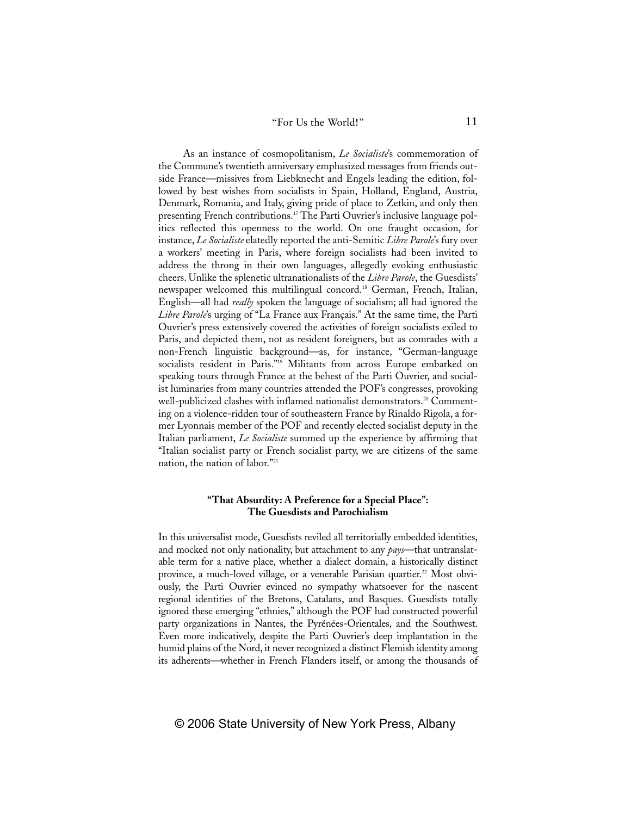As an instance of cosmopolitanism, *Le Socialiste*'s commemoration of the Commune's twentieth anniversary emphasized messages from friends outside France—missives from Liebknecht and Engels leading the edition, followed by best wishes from socialists in Spain, Holland, England, Austria, Denmark, Romania, and Italy, giving pride of place to Zetkin, and only then presenting French contributions.<sup>17</sup> The Parti Ouvrier's inclusive language politics reflected this openness to the world. On one fraught occasion, for instance, *Le Socialiste* elatedly reported the anti-Semitic *Libre Parole*'s fury over a workers' meeting in Paris, where foreign socialists had been invited to address the throng in their own languages, allegedly evoking enthusiastic cheers. Unlike the splenetic ultranationalists of the *Libre Parole*, the Guesdists' newspaper welcomed this multilingual concord.<sup>18</sup> German, French, Italian, English—all had *really* spoken the language of socialism; all had ignored the *Libre Parole*'s urging of "La France aux Français." At the same time, the Parti Ouvrier's press extensively covered the activities of foreign socialists exiled to Paris, and depicted them, not as resident foreigners, but as comrades with a non-French linguistic background—as, for instance, "German-language socialists resident in Paris."<sup>19</sup> Militants from across Europe embarked on speaking tours through France at the behest of the Parti Ouvrier, and socialist luminaries from many countries attended the POF's congresses, provoking well-publicized clashes with inflamed nationalist demonstrators.<sup>20</sup> Commenting on a violence-ridden tour of southeastern France by Rinaldo Rigola, a former Lyonnais member of the POF and recently elected socialist deputy in the Italian parliament, *Le Socialiste* summed up the experience by affirming that "Italian socialist party or French socialist party, we are citizens of the same nation, the nation of labor."21

#### **"That Absurdity: A Preference for a Special Place": The Guesdists and Parochialism**

In this universalist mode, Guesdists reviled all territorially embedded identities, and mocked not only nationality, but attachment to any *pays*—that untranslatable term for a native place, whether a dialect domain, a historically distinct province, a much-loved village, or a venerable Parisian quartier.<sup>22</sup> Most obviously, the Parti Ouvrier evinced no sympathy whatsoever for the nascent regional identities of the Bretons, Catalans, and Basques. Guesdists totally ignored these emerging "ethnies," although the POF had constructed powerful party organizations in Nantes, the Pyrénées-Orientales, and the Southwest. Even more indicatively, despite the Parti Ouvrier's deep implantation in the humid plains of the Nord, it never recognized a distinct Flemish identity among its adherents—whether in French Flanders itself, or among the thousands of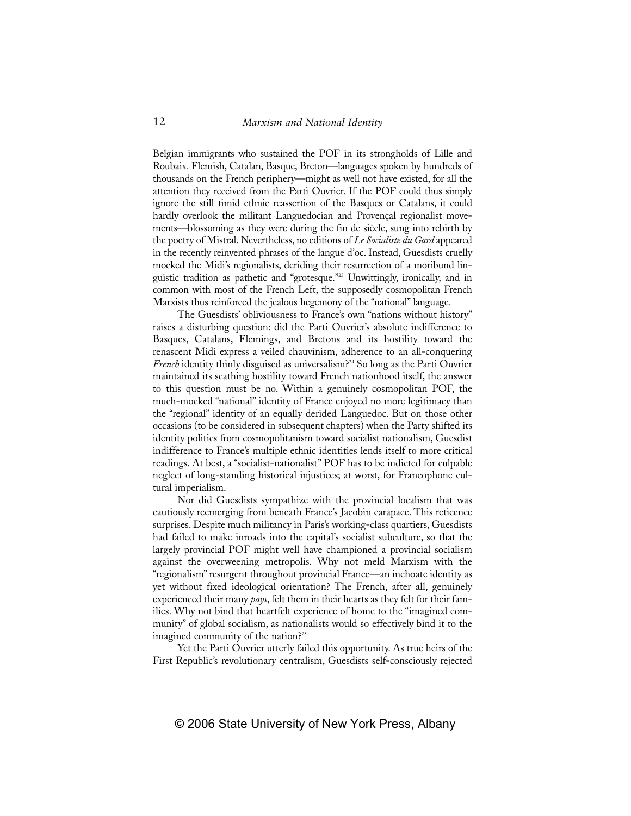Belgian immigrants who sustained the POF in its strongholds of Lille and Roubaix. Flemish, Catalan, Basque, Breton—languages spoken by hundreds of thousands on the French periphery—might as well not have existed, for all the attention they received from the Parti Ouvrier. If the POF could thus simply ignore the still timid ethnic reassertion of the Basques or Catalans, it could hardly overlook the militant Languedocian and Provençal regionalist movements—blossoming as they were during the fin de siècle, sung into rebirth by the poetry of Mistral. Nevertheless, no editions of *Le Socialiste du Gard* appeared in the recently reinvented phrases of the langue d'oc. Instead, Guesdists cruelly mocked the Midi's regionalists, deriding their resurrection of a moribund linguistic tradition as pathetic and "grotesque."23 Unwittingly, ironically, and in common with most of the French Left, the supposedly cosmopolitan French Marxists thus reinforced the jealous hegemony of the "national" language.

The Guesdists' obliviousness to France's own "nations without history" raises a disturbing question: did the Parti Ouvrier's absolute indifference to Basques, Catalans, Flemings, and Bretons and its hostility toward the renascent Midi express a veiled chauvinism, adherence to an all-conquering *French* identity thinly disguised as universalism?<sup>24</sup> So long as the Parti Ouvrier maintained its scathing hostility toward French nationhood itself, the answer to this question must be no. Within a genuinely cosmopolitan POF, the much-mocked "national" identity of France enjoyed no more legitimacy than the "regional" identity of an equally derided Languedoc. But on those other occasions (to be considered in subsequent chapters) when the Party shifted its identity politics from cosmopolitanism toward socialist nationalism, Guesdist indifference to France's multiple ethnic identities lends itself to more critical readings. At best, a "socialist-nationalist" POF has to be indicted for culpable neglect of long-standing historical injustices; at worst, for Francophone cultural imperialism.

Nor did Guesdists sympathize with the provincial localism that was cautiously reemerging from beneath France's Jacobin carapace. This reticence surprises. Despite much militancy in Paris's working-class quartiers, Guesdists had failed to make inroads into the capital's socialist subculture, so that the largely provincial POF might well have championed a provincial socialism against the overweening metropolis. Why not meld Marxism with the "regionalism" resurgent throughout provincial France—an inchoate identity as yet without fixed ideological orientation? The French, after all, genuinely experienced their many *pays*, felt them in their hearts as they felt for their families. Why not bind that heartfelt experience of home to the "imagined community" of global socialism, as nationalists would so effectively bind it to the imagined community of the nation?<sup>25</sup>

Yet the Parti Ouvrier utterly failed this opportunity. As true heirs of the First Republic's revolutionary centralism, Guesdists self-consciously rejected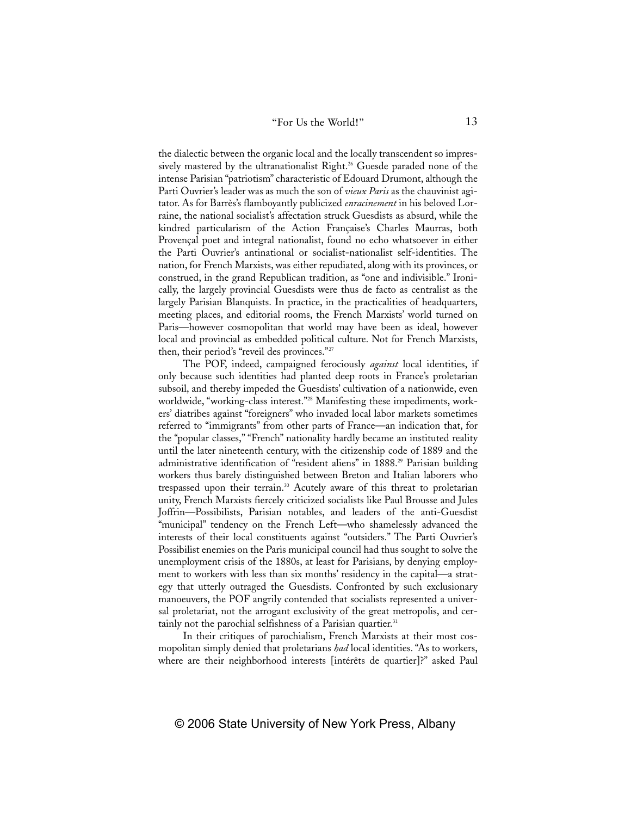the dialectic between the organic local and the locally transcendent so impressively mastered by the ultranationalist Right.<sup>26</sup> Guesde paraded none of the intense Parisian "patriotism" characteristic of Edouard Drumont, although the Parti Ouvrier's leader was as much the son of *vieux Paris* as the chauvinist agitator. As for Barrès's flamboyantly publicized *enracinement* in his beloved Lorraine, the national socialist's affectation struck Guesdists as absurd, while the kindred particularism of the Action Française's Charles Maurras, both Provençal poet and integral nationalist, found no echo whatsoever in either the Parti Ouvrier's antinational or socialist-nationalist self-identities. The nation, for French Marxists, was either repudiated, along with its provinces, or construed, in the grand Republican tradition, as "one and indivisible." Ironically, the largely provincial Guesdists were thus de facto as centralist as the largely Parisian Blanquists. In practice, in the practicalities of headquarters, meeting places, and editorial rooms, the French Marxists' world turned on Paris—however cosmopolitan that world may have been as ideal, however local and provincial as embedded political culture. Not for French Marxists, then, their period's "reveil des provinces."<sup>27</sup>

The POF, indeed, campaigned ferociously *against* local identities, if only because such identities had planted deep roots in France's proletarian subsoil, and thereby impeded the Guesdists' cultivation of a nationwide, even worldwide, "working-class interest."28 Manifesting these impediments, workers' diatribes against "foreigners" who invaded local labor markets sometimes referred to "immigrants" from other parts of France—an indication that, for the "popular classes," "French" nationality hardly became an instituted reality until the later nineteenth century, with the citizenship code of 1889 and the administrative identification of "resident aliens" in 1888.<sup>29</sup> Parisian building workers thus barely distinguished between Breton and Italian laborers who trespassed upon their terrain.30 Acutely aware of this threat to proletarian unity, French Marxists fiercely criticized socialists like Paul Brousse and Jules Joffrin—Possibilists, Parisian notables, and leaders of the anti-Guesdist "municipal" tendency on the French Left—who shamelessly advanced the interests of their local constituents against "outsiders." The Parti Ouvrier's Possibilist enemies on the Paris municipal council had thus sought to solve the unemployment crisis of the 1880s, at least for Parisians, by denying employment to workers with less than six months' residency in the capital—a strategy that utterly outraged the Guesdists. Confronted by such exclusionary manoeuvers, the POF angrily contended that socialists represented a universal proletariat, not the arrogant exclusivity of the great metropolis, and certainly not the parochial selfishness of a Parisian quartier. $31$ 

In their critiques of parochialism, French Marxists at their most cosmopolitan simply denied that proletarians *had* local identities. "As to workers, where are their neighborhood interests [intérêts de quartier]?" asked Paul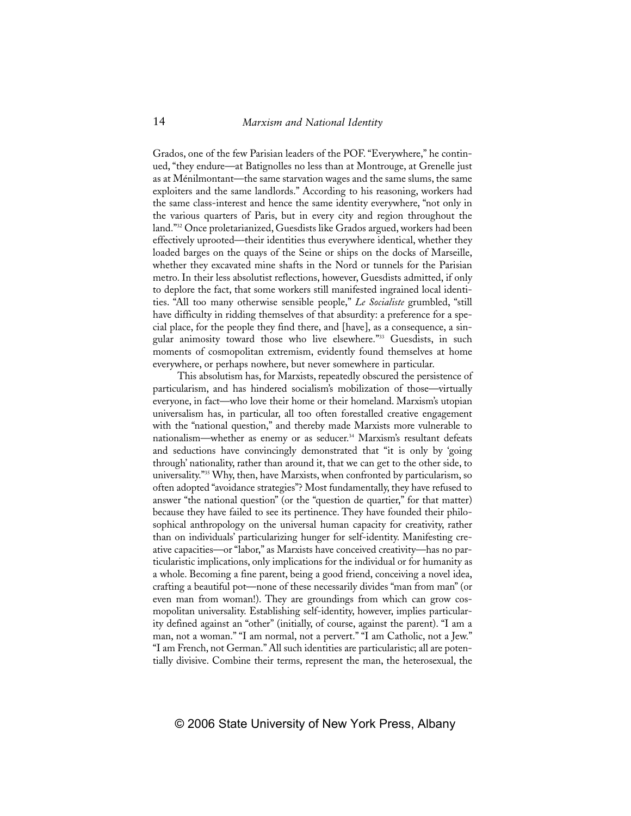Grados, one of the few Parisian leaders of the POF. "Everywhere," he continued, "they endure—at Batignolles no less than at Montrouge, at Grenelle just as at Ménilmontant—the same starvation wages and the same slums, the same exploiters and the same landlords." According to his reasoning, workers had the same class-interest and hence the same identity everywhere, "not only in the various quarters of Paris, but in every city and region throughout the land."32 Once proletarianized, Guesdists like Grados argued, workers had been effectively uprooted—their identities thus everywhere identical, whether they loaded barges on the quays of the Seine or ships on the docks of Marseille, whether they excavated mine shafts in the Nord or tunnels for the Parisian metro. In their less absolutist reflections, however, Guesdists admitted, if only to deplore the fact, that some workers still manifested ingrained local identities. "All too many otherwise sensible people," *Le Socialiste* grumbled, "still have difficulty in ridding themselves of that absurdity: a preference for a special place, for the people they find there, and [have], as a consequence, a singular animosity toward those who live elsewhere."33 Guesdists, in such moments of cosmopolitan extremism, evidently found themselves at home everywhere, or perhaps nowhere, but never somewhere in particular.

This absolutism has, for Marxists, repeatedly obscured the persistence of particularism, and has hindered socialism's mobilization of those—virtually everyone, in fact—who love their home or their homeland. Marxism's utopian universalism has, in particular, all too often forestalled creative engagement with the "national question," and thereby made Marxists more vulnerable to nationalism—whether as enemy or as seducer.<sup>34</sup> Marxism's resultant defeats and seductions have convincingly demonstrated that "it is only by 'going through' nationality, rather than around it, that we can get to the other side, to universality."35 Why, then, have Marxists, when confronted by particularism, so often adopted "avoidance strategies"? Most fundamentally, they have refused to answer "the national question" (or the "question de quartier," for that matter) because they have failed to see its pertinence. They have founded their philosophical anthropology on the universal human capacity for creativity, rather than on individuals' particularizing hunger for self-identity. Manifesting creative capacities—or "labor," as Marxists have conceived creativity—has no particularistic implications, only implications for the individual or for humanity as a whole. Becoming a fine parent, being a good friend, conceiving a novel idea, crafting a beautiful pot—none of these necessarily divides "man from man" (or even man from woman!). They are groundings from which can grow cosmopolitan universality. Establishing self-identity, however, implies particularity defined against an "other" (initially, of course, against the parent). "I am a man, not a woman." "I am normal, not a pervert." "I am Catholic, not a Jew." "I am French, not German." All such identities are particularistic; all are potentially divisive. Combine their terms, represent the man, the heterosexual, the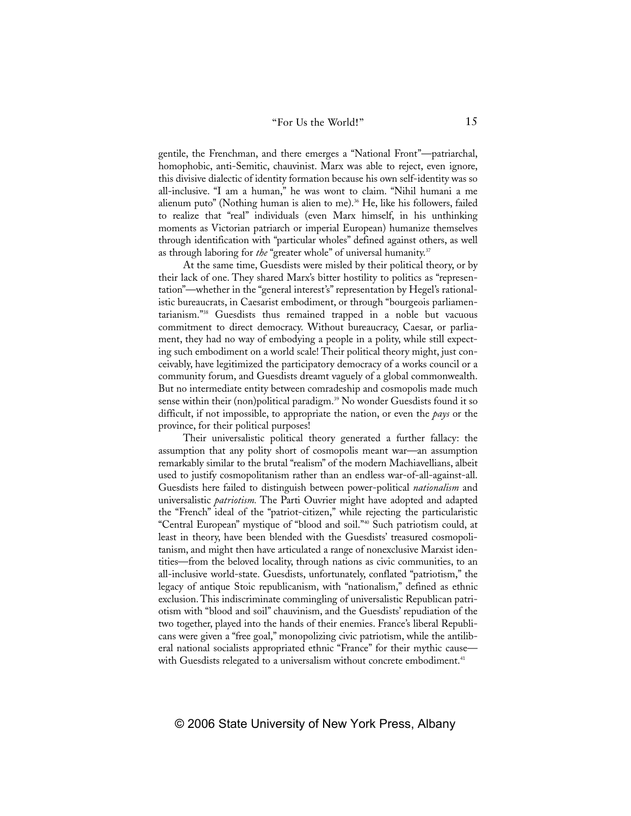gentile, the Frenchman, and there emerges a "National Front"—patriarchal, homophobic, anti-Semitic, chauvinist. Marx was able to reject, even ignore, this divisive dialectic of identity formation because his own self-identity was so all-inclusive. "I am a human," he was wont to claim. "Nihil humani a me alienum puto" (Nothing human is alien to me).<sup>36</sup> He, like his followers, failed to realize that "real" individuals (even Marx himself, in his unthinking moments as Victorian patriarch or imperial European) humanize themselves through identification with "particular wholes" defined against others, as well as through laboring for *the* "greater whole" of universal humanity.<sup>37</sup>

At the same time, Guesdists were misled by their political theory, or by their lack of one. They shared Marx's bitter hostility to politics as "representation"—whether in the "general interest's" representation by Hegel's rationalistic bureaucrats, in Caesarist embodiment, or through "bourgeois parliamentarianism."38 Guesdists thus remained trapped in a noble but vacuous commitment to direct democracy. Without bureaucracy, Caesar, or parliament, they had no way of embodying a people in a polity, while still expecting such embodiment on a world scale! Their political theory might, just conceivably, have legitimized the participatory democracy of a works council or a community forum, and Guesdists dreamt vaguely of a global commonwealth. But no intermediate entity between comradeship and cosmopolis made much sense within their (non)political paradigm.<sup>39</sup> No wonder Guesdists found it so difficult, if not impossible, to appropriate the nation, or even the *pays* or the province, for their political purposes!

Their universalistic political theory generated a further fallacy: the assumption that any polity short of cosmopolis meant war—an assumption remarkably similar to the brutal "realism" of the modern Machiavellians, albeit used to justify cosmopolitanism rather than an endless war-of-all-against-all. Guesdists here failed to distinguish between power-political *nationalism* and universalistic *patriotism.* The Parti Ouvrier might have adopted and adapted the "French" ideal of the "patriot-citizen," while rejecting the particularistic "Central European" mystique of "blood and soil."40 Such patriotism could, at least in theory, have been blended with the Guesdists' treasured cosmopolitanism, and might then have articulated a range of nonexclusive Marxist identities—from the beloved locality, through nations as civic communities, to an all-inclusive world-state. Guesdists, unfortunately, conflated "patriotism," the legacy of antique Stoic republicanism, with "nationalism," defined as ethnic exclusion. This indiscriminate commingling of universalistic Republican patriotism with "blood and soil" chauvinism, and the Guesdists' repudiation of the two together, played into the hands of their enemies. France's liberal Republicans were given a "free goal," monopolizing civic patriotism, while the antiliberal national socialists appropriated ethnic "France" for their mythic cause with Guesdists relegated to a universalism without concrete embodiment.<sup>41</sup>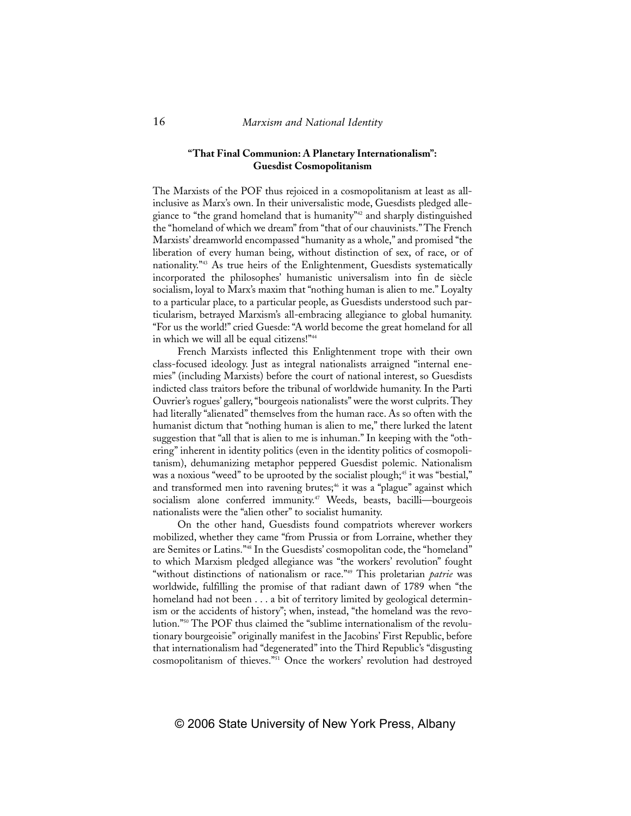#### **"That Final Communion: A Planetary Internationalism": Guesdist Cosmopolitanism**

The Marxists of the POF thus rejoiced in a cosmopolitanism at least as allinclusive as Marx's own. In their universalistic mode, Guesdists pledged allegiance to "the grand homeland that is humanity"42 and sharply distinguished the "homeland of which we dream" from "that of our chauvinists." The French Marxists' dreamworld encompassed "humanity as a whole," and promised "the liberation of every human being, without distinction of sex, of race, or of nationality."43 As true heirs of the Enlightenment, Guesdists systematically incorporated the philosophes' humanistic universalism into fin de siècle socialism, loyal to Marx's maxim that "nothing human is alien to me." Loyalty to a particular place, to a particular people, as Guesdists understood such particularism, betrayed Marxism's all-embracing allegiance to global humanity. "For us the world!" cried Guesde: "A world become the great homeland for all in which we will all be equal citizens!"<sup>44</sup>

French Marxists inflected this Enlightenment trope with their own class-focused ideology. Just as integral nationalists arraigned "internal enemies" (including Marxists) before the court of national interest, so Guesdists indicted class traitors before the tribunal of worldwide humanity. In the Parti Ouvrier's rogues' gallery, "bourgeois nationalists" were the worst culprits. They had literally "alienated" themselves from the human race. As so often with the humanist dictum that "nothing human is alien to me," there lurked the latent suggestion that "all that is alien to me is inhuman." In keeping with the "othering" inherent in identity politics (even in the identity politics of cosmopolitanism), dehumanizing metaphor peppered Guesdist polemic. Nationalism was a noxious "weed" to be uprooted by the socialist plough;<sup>45</sup> it was "bestial," and transformed men into ravening brutes;<sup>46</sup> it was a "plague" against which socialism alone conferred immunity.<sup>47</sup> Weeds, beasts, bacilli—bourgeois nationalists were the "alien other" to socialist humanity.

On the other hand, Guesdists found compatriots wherever workers mobilized, whether they came "from Prussia or from Lorraine, whether they are Semites or Latins."48 In the Guesdists' cosmopolitan code, the "homeland" to which Marxism pledged allegiance was "the workers' revolution" fought "without distinctions of nationalism or race."49 This proletarian *patrie* was worldwide, fulfilling the promise of that radiant dawn of 1789 when "the homeland had not been . . . a bit of territory limited by geological determinism or the accidents of history"; when, instead, "the homeland was the revolution."50 The POF thus claimed the "sublime internationalism of the revolutionary bourgeoisie" originally manifest in the Jacobins' First Republic, before that internationalism had "degenerated" into the Third Republic's "disgusting cosmopolitanism of thieves."51 Once the workers' revolution had destroyed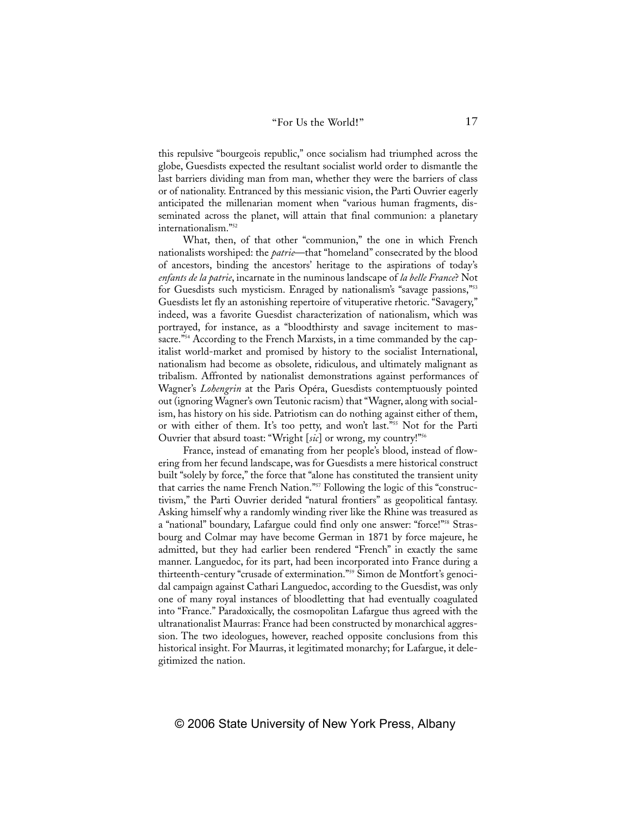this repulsive "bourgeois republic," once socialism had triumphed across the globe, Guesdists expected the resultant socialist world order to dismantle the last barriers dividing man from man, whether they were the barriers of class or of nationality. Entranced by this messianic vision, the Parti Ouvrier eagerly anticipated the millenarian moment when "various human fragments, disseminated across the planet, will attain that final communion: a planetary internationalism."52

What, then, of that other "communion," the one in which French nationalists worshiped: the *patrie*—that "homeland" consecrated by the blood of ancestors, binding the ancestors' heritage to the aspirations of today's *enfants de la patrie*, incarnate in the numinous landscape of *la belle France*? Not for Guesdists such mysticism. Enraged by nationalism's "savage passions,"53 Guesdists let fly an astonishing repertoire of vituperative rhetoric. "Savagery," indeed, was a favorite Guesdist characterization of nationalism, which was portrayed, for instance, as a "bloodthirsty and savage incitement to massacre."<sup>54</sup> According to the French Marxists, in a time commanded by the capitalist world-market and promised by history to the socialist International, nationalism had become as obsolete, ridiculous, and ultimately malignant as tribalism. Affronted by nationalist demonstrations against performances of Wagner's *Lohengrin* at the Paris Opéra, Guesdists contemptuously pointed out (ignoring Wagner's own Teutonic racism) that "Wagner, along with socialism, has history on his side. Patriotism can do nothing against either of them, or with either of them. It's too petty, and won't last."55 Not for the Parti Ouvrier that absurd toast: "Wright [*sic*] or wrong, my country!"56

France, instead of emanating from her people's blood, instead of flowering from her fecund landscape, was for Guesdists a mere historical construct built "solely by force," the force that "alone has constituted the transient unity that carries the name French Nation."57 Following the logic of this "constructivism," the Parti Ouvrier derided "natural frontiers" as geopolitical fantasy. Asking himself why a randomly winding river like the Rhine was treasured as a "national" boundary, Lafargue could find only one answer: "force!"58 Strasbourg and Colmar may have become German in 1871 by force majeure, he admitted, but they had earlier been rendered "French" in exactly the same manner. Languedoc, for its part, had been incorporated into France during a thirteenth-century "crusade of extermination."59 Simon de Montfort's genocidal campaign against Cathari Languedoc, according to the Guesdist, was only one of many royal instances of bloodletting that had eventually coagulated into "France." Paradoxically, the cosmopolitan Lafargue thus agreed with the ultranationalist Maurras: France had been constructed by monarchical aggression. The two ideologues, however, reached opposite conclusions from this historical insight. For Maurras, it legitimated monarchy; for Lafargue, it delegitimized the nation.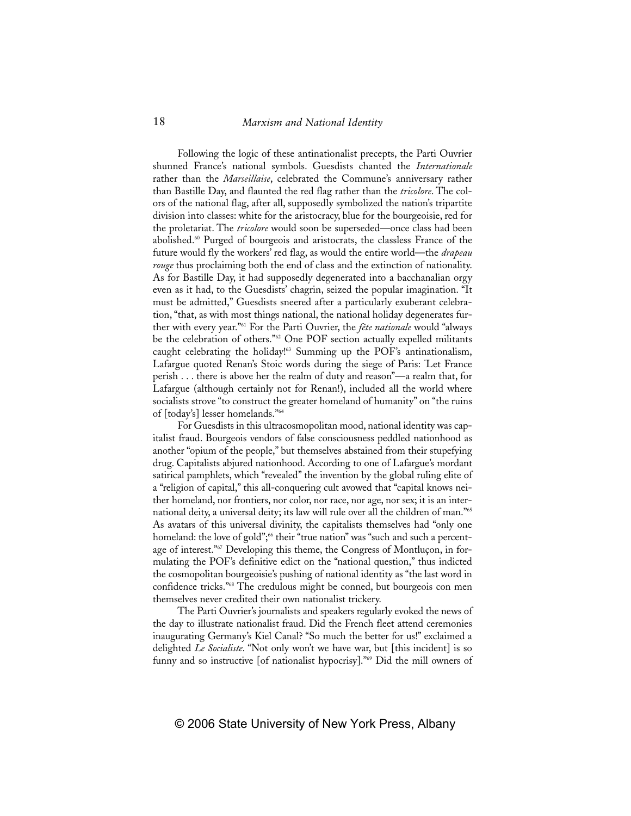Following the logic of these antinationalist precepts, the Parti Ouvrier shunned France's national symbols. Guesdists chanted the *Internationale* rather than the *Marseillaise*, celebrated the Commune's anniversary rather than Bastille Day, and flaunted the red flag rather than the *tricolore*. The colors of the national flag, after all, supposedly symbolized the nation's tripartite division into classes: white for the aristocracy, blue for the bourgeoisie, red for the proletariat. The *tricolore* would soon be superseded—once class had been abolished.60 Purged of bourgeois and aristocrats, the classless France of the future would fly the workers' red flag, as would the entire world—the *drapeau rouge* thus proclaiming both the end of class and the extinction of nationality. As for Bastille Day, it had supposedly degenerated into a bacchanalian orgy even as it had, to the Guesdists' chagrin, seized the popular imagination. "It must be admitted," Guesdists sneered after a particularly exuberant celebration, "that, as with most things national, the national holiday degenerates further with every year."61 For the Parti Ouvrier, the *fête nationale* would "always be the celebration of others."62 One POF section actually expelled militants caught celebrating the holiday!63 Summing up the POF's antinationalism, Lafargue quoted Renan's Stoic words during the siege of Paris: " Let France perish . . . there is above her the realm of duty and reason"—a realm that, for Lafargue (although certainly not for Renan!), included all the world where socialists strove "to construct the greater homeland of humanity" on "the ruins of [today's] lesser homelands."64

For Guesdists in this ultracosmopolitan mood, national identity was capitalist fraud. Bourgeois vendors of false consciousness peddled nationhood as another "opium of the people," but themselves abstained from their stupefying drug. Capitalists abjured nationhood. According to one of Lafargue's mordant satirical pamphlets, which "revealed" the invention by the global ruling elite of a "religion of capital," this all-conquering cult avowed that "capital knows neither homeland, nor frontiers, nor color, nor race, nor age, nor sex; it is an international deity, a universal deity; its law will rule over all the children of man."65 As avatars of this universal divinity, the capitalists themselves had "only one homeland: the love of gold";<sup>66</sup> their "true nation" was "such and such a percentage of interest."67 Developing this theme, the Congress of Montluçon, in formulating the POF's definitive edict on the "national question," thus indicted the cosmopolitan bourgeoisie's pushing of national identity as "the last word in confidence tricks."68 The credulous might be conned, but bourgeois con men themselves never credited their own nationalist trickery.

The Parti Ouvrier's journalists and speakers regularly evoked the news of the day to illustrate nationalist fraud. Did the French fleet attend ceremonies inaugurating Germany's Kiel Canal? "So much the better for us!" exclaimed a delighted *Le Socialiste*. "Not only won't we have war, but [this incident] is so funny and so instructive [of nationalist hypocrisy]."69 Did the mill owners of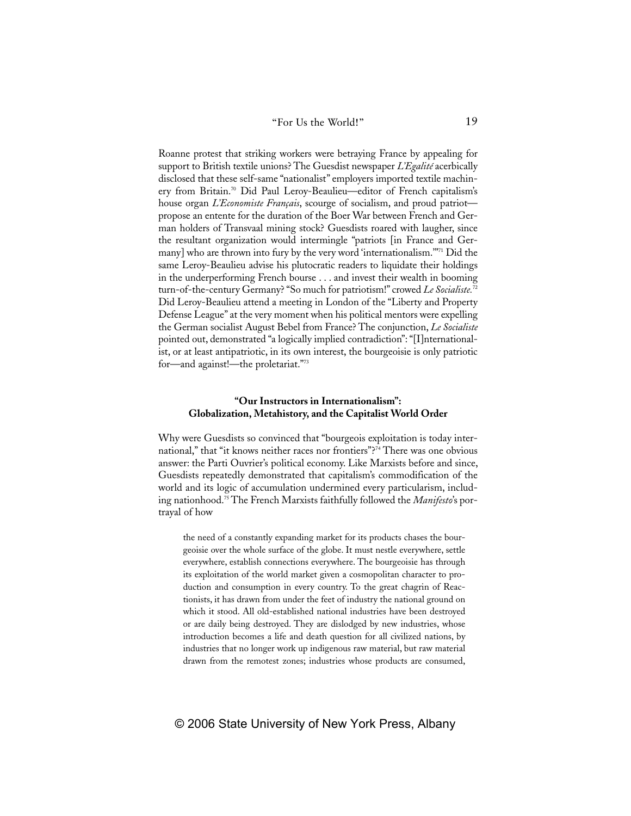Roanne protest that striking workers were betraying France by appealing for support to British textile unions? The Guesdist newspaper *L'Egalité* acerbically disclosed that these self-same "nationalist" employers imported textile machinery from Britain.<sup>70</sup> Did Paul Leroy-Beaulieu—editor of French capitalism's house organ *L'Economiste Français*, scourge of socialism, and proud patriot propose an entente for the duration of the Boer War between French and German holders of Transvaal mining stock? Guesdists roared with laugher, since the resultant organization would intermingle "patriots [in France and Germany] who are thrown into fury by the very word 'internationalism.'"71 Did the same Leroy-Beaulieu advise his plutocratic readers to liquidate their holdings in the underperforming French bourse . . . and invest their wealth in booming turn-of-the-century Germany? "So much for patriotism!" crowed *Le Socialiste.*<sup>72</sup> Did Leroy-Beaulieu attend a meeting in London of the "Liberty and Property Defense League" at the very moment when his political mentors were expelling the German socialist August Bebel from France? The conjunction, *Le Socialiste* pointed out, demonstrated "a logically implied contradiction": "[I]nternationalist, or at least antipatriotic, in its own interest, the bourgeoisie is only patriotic for—and against!—the proletariat."73

## **"Our Instructors in Internationalism": Globalization, Metahistory, and the Capitalist World Order**

Why were Guesdists so convinced that "bourgeois exploitation is today international," that "it knows neither races nor frontiers"?<sup>74</sup> There was one obvious answer: the Parti Ouvrier's political economy. Like Marxists before and since, Guesdists repeatedly demonstrated that capitalism's commodification of the world and its logic of accumulation undermined every particularism, including nationhood.75 The French Marxists faithfully followed the *Manifesto*'s portrayal of how

the need of a constantly expanding market for its products chases the bourgeoisie over the whole surface of the globe. It must nestle everywhere, settle everywhere, establish connections everywhere. The bourgeoisie has through its exploitation of the world market given a cosmopolitan character to production and consumption in every country. To the great chagrin of Reactionists, it has drawn from under the feet of industry the national ground on which it stood. All old-established national industries have been destroyed or are daily being destroyed. They are dislodged by new industries, whose introduction becomes a life and death question for all civilized nations, by industries that no longer work up indigenous raw material, but raw material drawn from the remotest zones; industries whose products are consumed,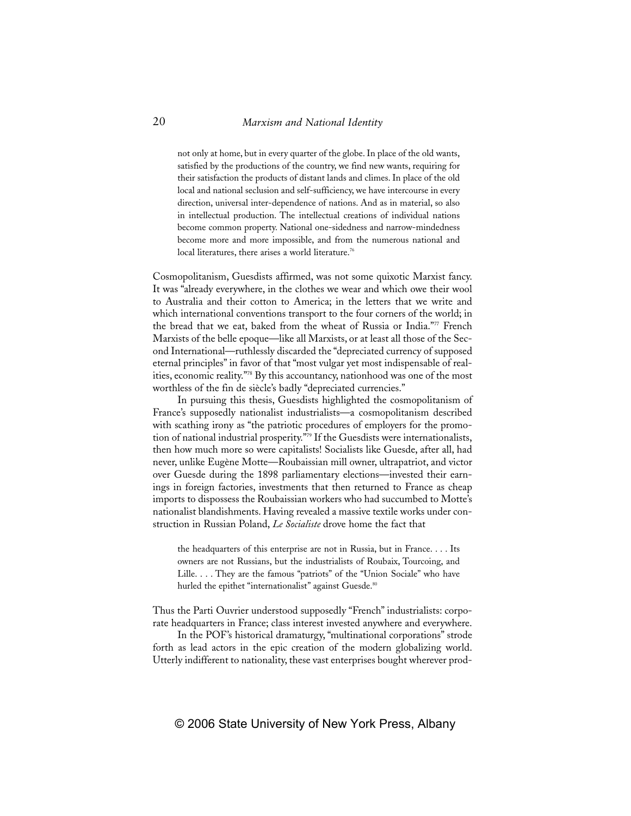not only at home, but in every quarter of the globe. In place of the old wants, satisfied by the productions of the country, we find new wants, requiring for their satisfaction the products of distant lands and climes. In place of the old local and national seclusion and self-sufficiency, we have intercourse in every direction, universal inter-dependence of nations. And as in material, so also in intellectual production. The intellectual creations of individual nations become common property. National one-sidedness and narrow-mindedness become more and more impossible, and from the numerous national and local literatures, there arises a world literature.<sup>76</sup>

Cosmopolitanism, Guesdists affirmed, was not some quixotic Marxist fancy. It was "already everywhere, in the clothes we wear and which owe their wool to Australia and their cotton to America; in the letters that we write and which international conventions transport to the four corners of the world; in the bread that we eat, baked from the wheat of Russia or India."77 French Marxists of the belle epoque—like all Marxists, or at least all those of the Second International—ruthlessly discarded the "depreciated currency of supposed eternal principles" in favor of that "most vulgar yet most indispensable of realities, economic reality."78 By this accountancy, nationhood was one of the most worthless of the fin de siècle's badly "depreciated currencies."

In pursuing this thesis, Guesdists highlighted the cosmopolitanism of France's supposedly nationalist industrialists—a cosmopolitanism described with scathing irony as "the patriotic procedures of employers for the promotion of national industrial prosperity."79 If the Guesdists were internationalists, then how much more so were capitalists! Socialists like Guesde, after all, had never, unlike Eugène Motte—Roubaissian mill owner, ultrapatriot, and victor over Guesde during the 1898 parliamentary elections—invested their earnings in foreign factories, investments that then returned to France as cheap imports to dispossess the Roubaissian workers who had succumbed to Motte's nationalist blandishments. Having revealed a massive textile works under construction in Russian Poland, *Le Socialiste* drove home the fact that

the headquarters of this enterprise are not in Russia, but in France. . . . Its owners are not Russians, but the industrialists of Roubaix, Tourcoing, and Lille. . . . They are the famous "patriots" of the "Union Sociale" who have hurled the epithet "internationalist" against Guesde.<sup>80</sup>

Thus the Parti Ouvrier understood supposedly "French" industrialists: corporate headquarters in France; class interest invested anywhere and everywhere.

In the POF's historical dramaturgy, "multinational corporations" strode forth as lead actors in the epic creation of the modern globalizing world. Utterly indifferent to nationality, these vast enterprises bought wherever prod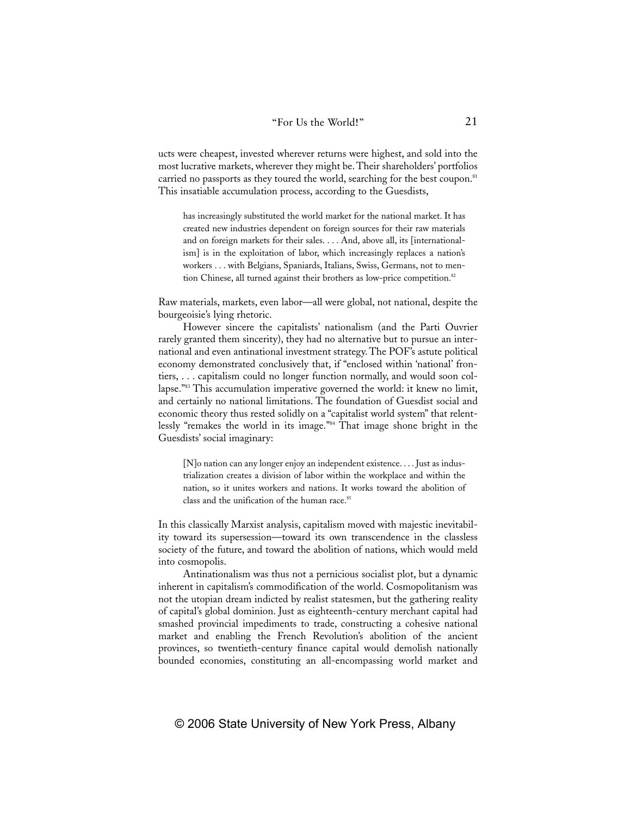ucts were cheapest, invested wherever returns were highest, and sold into the most lucrative markets, wherever they might be. Their shareholders' portfolios carried no passports as they toured the world, searching for the best coupon.<sup>81</sup> This insatiable accumulation process, according to the Guesdists,

has increasingly substituted the world market for the national market. It has created new industries dependent on foreign sources for their raw materials and on foreign markets for their sales. . . . And, above all, its [internationalism] is in the exploitation of labor, which increasingly replaces a nation's workers . . . with Belgians, Spaniards, Italians, Swiss, Germans, not to mention Chinese, all turned against their brothers as low-price competition.<sup>82</sup>

Raw materials, markets, even labor—all were global, not national, despite the bourgeoisie's lying rhetoric.

However sincere the capitalists' nationalism (and the Parti Ouvrier rarely granted them sincerity), they had no alternative but to pursue an international and even antinational investment strategy. The POF's astute political economy demonstrated conclusively that, if "enclosed within 'national' frontiers, ...capitalism could no longer function normally, and would soon collapse."83 This accumulation imperative governed the world: it knew no limit, and certainly no national limitations. The foundation of Guesdist social and economic theory thus rested solidly on a "capitalist world system" that relentlessly "remakes the world in its image."84 That image shone bright in the Guesdists' social imaginary:

[N]o nation can any longer enjoy an independent existence. . . . Just as industrialization creates a division of labor within the workplace and within the nation, so it unites workers and nations. It works toward the abolition of class and the unification of the human race.<sup>85</sup>

In this classically Marxist analysis, capitalism moved with majestic inevitability toward its supersession—toward its own transcendence in the classless society of the future, and toward the abolition of nations, which would meld into cosmopolis.

Antinationalism was thus not a pernicious socialist plot, but a dynamic inherent in capitalism's commodification of the world. Cosmopolitanism was not the utopian dream indicted by realist statesmen, but the gathering reality of capital's global dominion. Just as eighteenth-century merchant capital had smashed provincial impediments to trade, constructing a cohesive national market and enabling the French Revolution's abolition of the ancient provinces, so twentieth-century finance capital would demolish nationally bounded economies, constituting an all-encompassing world market and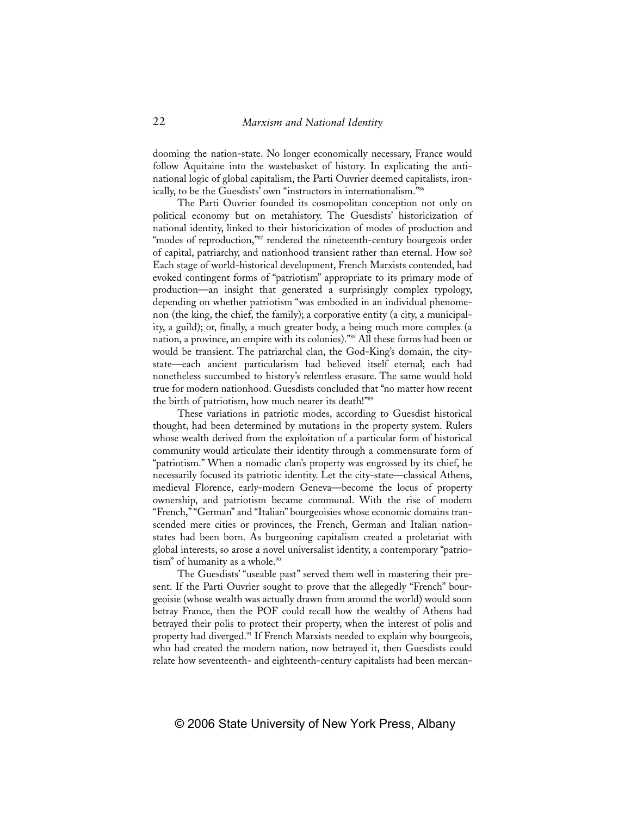dooming the nation-state. No longer economically necessary, France would follow Aquitaine into the wastebasket of history. In explicating the antinational logic of global capitalism, the Parti Ouvrier deemed capitalists, ironically, to be the Guesdists' own "instructors in internationalism."86

The Parti Ouvrier founded its cosmopolitan conception not only on political economy but on metahistory. The Guesdists' historicization of national identity, linked to their historicization of modes of production and "modes of reproduction,"87 rendered the nineteenth-century bourgeois order of capital, patriarchy, and nationhood transient rather than eternal. How so? Each stage of world-historical development, French Marxists contended, had evoked contingent forms of "patriotism" appropriate to its primary mode of production—an insight that generated a surprisingly complex typology, depending on whether patriotism "was embodied in an individual phenomenon (the king, the chief, the family); a corporative entity (a city, a municipality, a guild); or, finally, a much greater body, a being much more complex (a nation, a province, an empire with its colonies)."88 All these forms had been or would be transient. The patriarchal clan, the God-King's domain, the citystate—each ancient particularism had believed itself eternal; each had nonetheless succumbed to history's relentless erasure. The same would hold true for modern nationhood. Guesdists concluded that "no matter how recent the birth of patriotism, how much nearer its death!"89

These variations in patriotic modes, according to Guesdist historical thought, had been determined by mutations in the property system. Rulers whose wealth derived from the exploitation of a particular form of historical community would articulate their identity through a commensurate form of "patriotism." When a nomadic clan's property was engrossed by its chief, he necessarily focused its patriotic identity. Let the city-state—classical Athens, medieval Florence, early-modern Geneva—become the locus of property ownership, and patriotism became communal. With the rise of modern "French," "German" and "Italian" bourgeoisies whose economic domains transcended mere cities or provinces, the French, German and Italian nationstates had been born. As burgeoning capitalism created a proletariat with global interests, so arose a novel universalist identity, a contemporary "patriotism" of humanity as a whole.<sup>90</sup>

The Guesdists' "useable past" served them well in mastering their present. If the Parti Ouvrier sought to prove that the allegedly "French" bourgeoisie (whose wealth was actually drawn from around the world) would soon betray France, then the POF could recall how the wealthy of Athens had betrayed their polis to protect their property, when the interest of polis and property had diverged.<sup>91</sup> If French Marxists needed to explain why bourgeois, who had created the modern nation, now betrayed it, then Guesdists could relate how seventeenth- and eighteenth-century capitalists had been mercan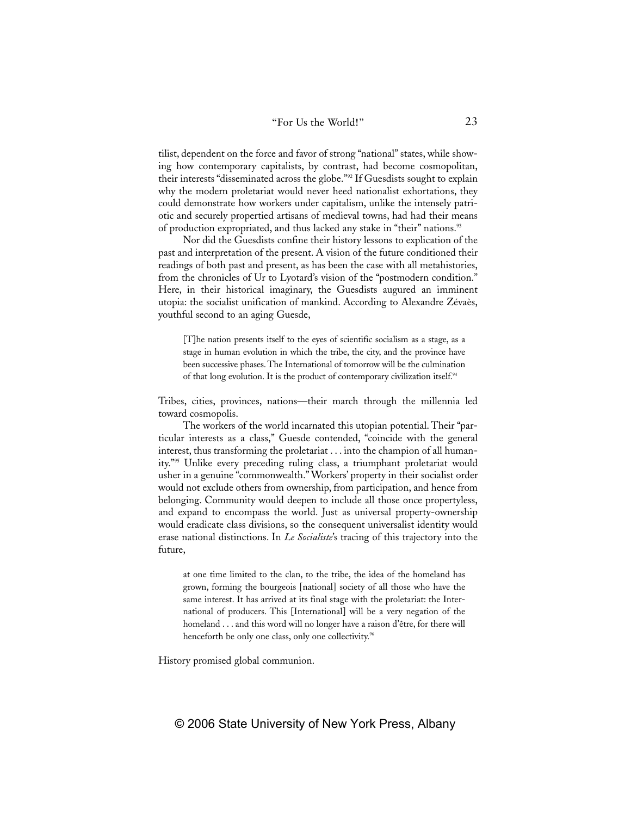tilist, dependent on the force and favor of strong "national" states, while showing how contemporary capitalists, by contrast, had become cosmopolitan, their interests "disseminated across the globe."92 If Guesdists sought to explain why the modern proletariat would never heed nationalist exhortations, they could demonstrate how workers under capitalism, unlike the intensely patriotic and securely propertied artisans of medieval towns, had had their means of production expropriated, and thus lacked any stake in "their" nations.<sup>93</sup>

Nor did the Guesdists confine their history lessons to explication of the past and interpretation of the present. A vision of the future conditioned their readings of both past and present, as has been the case with all metahistories, from the chronicles of Ur to Lyotard's vision of the "postmodern condition." Here, in their historical imaginary, the Guesdists augured an imminent utopia: the socialist unification of mankind. According to Alexandre Zévaès, youthful second to an aging Guesde,

[T]he nation presents itself to the eyes of scientific socialism as a stage, as a stage in human evolution in which the tribe, the city, and the province have been successive phases. The International of tomorrow will be the culmination of that long evolution. It is the product of contemporary civilization itself.<sup>94</sup>

Tribes, cities, provinces, nations—their march through the millennia led toward cosmopolis.

The workers of the world incarnated this utopian potential. Their "particular interests as a class," Guesde contended, "coincide with the general interest, thus transforming the proletariat . . . into the champion of all humanity."95 Unlike every preceding ruling class, a triumphant proletariat would usher in a genuine "commonwealth." Workers' property in their socialist order would not exclude others from ownership, from participation, and hence from belonging. Community would deepen to include all those once propertyless, and expand to encompass the world. Just as universal property-ownership would eradicate class divisions, so the consequent universalist identity would erase national distinctions. In *Le Socialiste*'s tracing of this trajectory into the future,

at one time limited to the clan, to the tribe, the idea of the homeland has grown, forming the bourgeois [national] society of all those who have the same interest. It has arrived at its final stage with the proletariat: the International of producers. This [International] will be a very negation of the homeland . . . and this word will no longer have a raison d'être, for there will henceforth be only one class, only one collectivity.<sup>96</sup>

History promised global communion.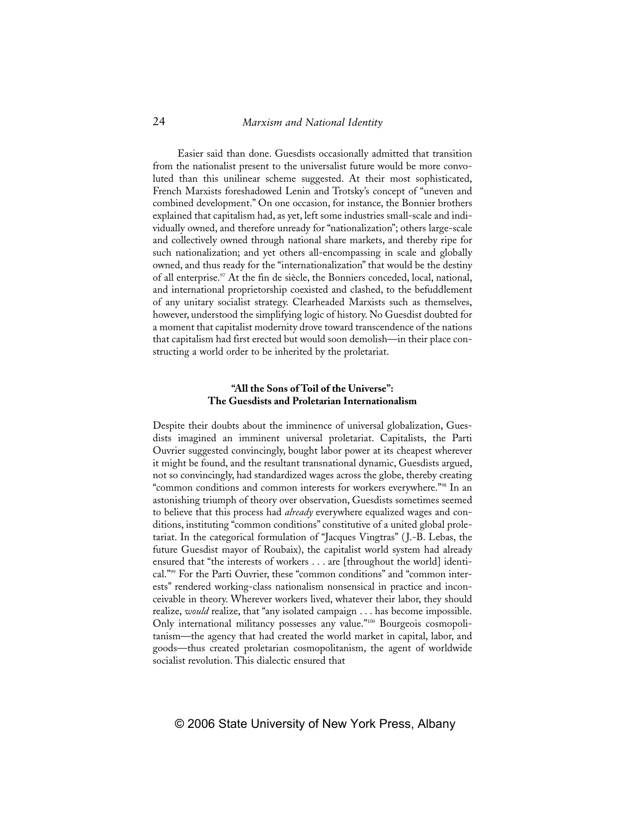Easier said than done. Guesdists occasionally admitted that transition from the nationalist present to the universalist future would be more convoluted than this unilinear scheme suggested. At their most sophisticated, French Marxists foreshadowed Lenin and Trotsky's concept of "uneven and combined development." On one occasion, for instance, the Bonnier brothers explained that capitalism had, as yet, left some industries small-scale and individually owned, and therefore unready for "nationalization"; others large-scale and collectively owned through national share markets, and thereby ripe for such nationalization; and yet others all-encompassing in scale and globally owned, and thus ready for the "internationalization" that would be the destiny of all enterprise.<sup>97</sup> At the fin de siècle, the Bonniers conceded, local, national, and international proprietorship coexisted and clashed, to the befuddlement of any unitary socialist strategy. Clearheaded Marxists such as themselves, however, understood the simplifying logic of history. No Guesdist doubted for a moment that capitalist modernity drove toward transcendence of the nations that capitalism had first erected but would soon demolish—in their place constructing a world order to be inherited by the proletariat.

## **"All the Sons of Toil of the Universe": The Guesdists and Proletarian Internationalism**

Despite their doubts about the imminence of universal globalization, Guesdists imagined an imminent universal proletariat. Capitalists, the Parti Ouvrier suggested convincingly, bought labor power at its cheapest wherever it might be found, and the resultant transnational dynamic, Guesdists argued, not so convincingly, had standardized wages across the globe, thereby creating "common conditions and common interests for workers everywhere."98 In an astonishing triumph of theory over observation, Guesdists sometimes seemed to believe that this process had *already* everywhere equalized wages and conditions, instituting "common conditions" constitutive of a united global proletariat. In the categorical formulation of "Jacques Vingtras" ( J.-B. Lebas, the future Guesdist mayor of Roubaix), the capitalist world system had already ensured that "the interests of workers . . . are [throughout the world] identical."99 For the Parti Ouvrier, these "common conditions" and "common interests" rendered working-class nationalism nonsensical in practice and inconceivable in theory. Wherever workers lived, whatever their labor, they should realize, *would* realize, that "any isolated campaign . . . has become impossible. Only international militancy possesses any value."<sup>100</sup> Bourgeois cosmopolitanism—the agency that had created the world market in capital, labor, and goods—thus created proletarian cosmopolitanism, the agent of worldwide socialist revolution. This dialectic ensured that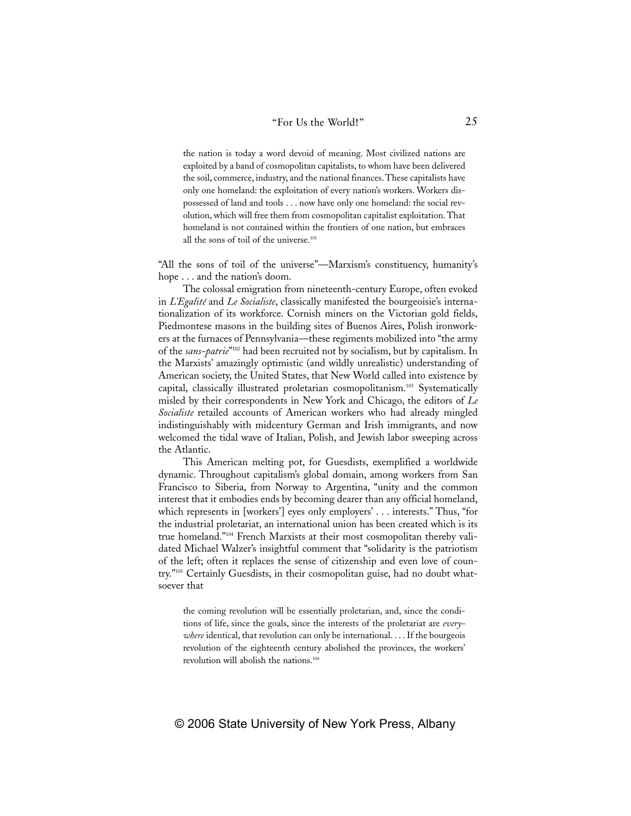the nation is today a word devoid of meaning. Most civilized nations are exploited by a band of cosmopolitan capitalists, to whom have been delivered the soil, commerce, industry, and the national finances. These capitalists have only one homeland: the exploitation of every nation's workers. Workers dispossessed of land and tools . . . now have only one homeland: the social revolution, which will free them from cosmopolitan capitalist exploitation. That homeland is not contained within the frontiers of one nation, but embraces all the sons of toil of the universe.<sup>101</sup>

"All the sons of toil of the universe"—Marxism's constituency, humanity's hope . . . and the nation's doom.

The colossal emigration from nineteenth-century Europe, often evoked in *L'Egalité* and *Le Socialiste*, classically manifested the bourgeoisie's internationalization of its workforce. Cornish miners on the Victorian gold fields, Piedmontese masons in the building sites of Buenos Aires, Polish ironworkers at the furnaces of Pennsylvania—these regiments mobilized into "the army of the *sans-patrie*"<sup>102</sup> had been recruited not by socialism, but by capitalism. In the Marxists' amazingly optimistic (and wildly unrealistic) understanding of American society, the United States, that New World called into existence by capital, classically illustrated proletarian cosmopolitanism.103 Systematically misled by their correspondents in New York and Chicago, the editors of *Le Socialiste* retailed accounts of American workers who had already mingled indistinguishably with midcentury German and Irish immigrants, and now welcomed the tidal wave of Italian, Polish, and Jewish labor sweeping across the Atlantic.

This American melting pot, for Guesdists, exemplified a worldwide dynamic. Throughout capitalism's global domain, among workers from San Francisco to Siberia, from Norway to Argentina, "unity and the common interest that it embodies ends by becoming dearer than any official homeland, which represents in [workers'] eyes only employers'... interests." Thus, "for the industrial proletariat, an international union has been created which is its true homeland."104 French Marxists at their most cosmopolitan thereby validated Michael Walzer's insightful comment that "solidarity is the patriotism of the left; often it replaces the sense of citizenship and even love of country."105 Certainly Guesdists, in their cosmopolitan guise, had no doubt whatsoever that

the coming revolution will be essentially proletarian, and, since the conditions of life, since the goals, since the interests of the proletariat are *everywhere* identical, that revolution can only be international. . . . If the bourgeois revolution of the eighteenth century abolished the provinces, the workers' revolution will abolish the nations.106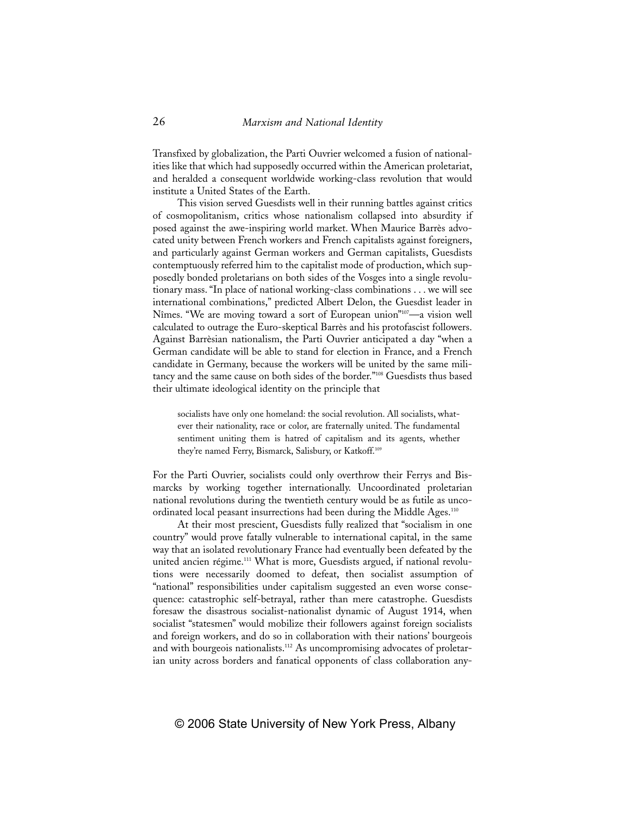Transfixed by globalization, the Parti Ouvrier welcomed a fusion of nationalities like that which had supposedly occurred within the American proletariat, and heralded a consequent worldwide working-class revolution that would institute a United States of the Earth.

This vision served Guesdists well in their running battles against critics of cosmopolitanism, critics whose nationalism collapsed into absurdity if posed against the awe-inspiring world market. When Maurice Barrès advocated unity between French workers and French capitalists against foreigners, and particularly against German workers and German capitalists, Guesdists contemptuously referred him to the capitalist mode of production, which supposedly bonded proletarians on both sides of the Vosges into a single revolutionary mass. "In place of national working-class combinations . . . we will see international combinations," predicted Albert Delon, the Guesdist leader in Nîmes. "We are moving toward a sort of European union"<sup>107</sup>—a vision well calculated to outrage the Euro-skeptical Barrès and his protofascist followers. Against Barrèsian nationalism, the Parti Ouvrier anticipated a day "when a German candidate will be able to stand for election in France, and a French candidate in Germany, because the workers will be united by the same militancy and the same cause on both sides of the border."108 Guesdists thus based their ultimate ideological identity on the principle that

socialists have only one homeland: the social revolution. All socialists, whatever their nationality, race or color, are fraternally united. The fundamental sentiment uniting them is hatred of capitalism and its agents, whether they're named Ferry, Bismarck, Salisbury, or Katkoff.109

For the Parti Ouvrier, socialists could only overthrow their Ferrys and Bismarcks by working together internationally. Uncoordinated proletarian national revolutions during the twentieth century would be as futile as uncoordinated local peasant insurrections had been during the Middle Ages.<sup>110</sup>

At their most prescient, Guesdists fully realized that "socialism in one country" would prove fatally vulnerable to international capital, in the same way that an isolated revolutionary France had eventually been defeated by the united ancien régime.<sup>111</sup> What is more, Guesdists argued, if national revolutions were necessarily doomed to defeat, then socialist assumption of "national" responsibilities under capitalism suggested an even worse consequence: catastrophic self-betrayal, rather than mere catastrophe. Guesdists foresaw the disastrous socialist-nationalist dynamic of August 1914, when socialist "statesmen" would mobilize their followers against foreign socialists and foreign workers, and do so in collaboration with their nations' bourgeois and with bourgeois nationalists.<sup>112</sup> As uncompromising advocates of proletarian unity across borders and fanatical opponents of class collaboration any